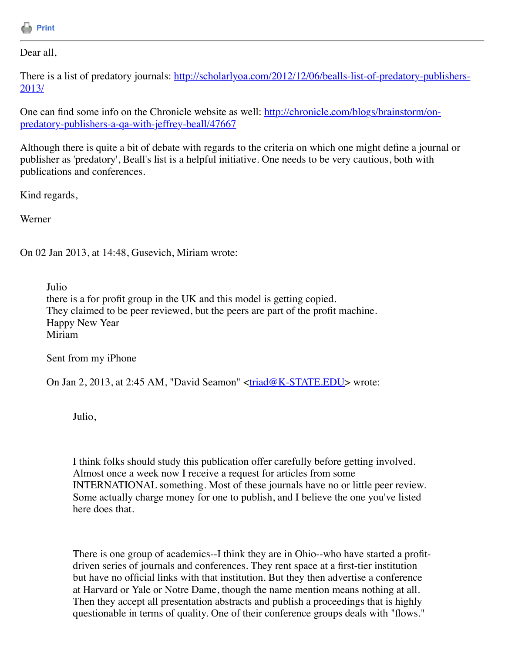

Dear all,

[There is a list of predatory journals: http://scholarlyoa.com/2012/12/06/bealls-list-of-predatory-publishers-](http://scholarlyoa.com/2012/12/06/bealls-list-of-predatory-publishers-2013/)2013/

[One can find some info on the Chronicle website as well: http://chronicle.com/blogs/brainstorm/on](http://chronicle.com/blogs/brainstorm/on-predatory-publishers-a-qa-with-jeffrey-beall/47667)predatory-publishers-a-qa-with-jeffrey-beall/47667

Although there is quite a bit of debate with regards to the criteria on which one might define a journal or publisher as 'predatory', Beall's list is a helpful initiative. One needs to be very cautious, both with publications and conferences.

Kind regards,

Werner

On 02 Jan 2013, at 14:48, Gusevich, Miriam wrote:

Julio there is a for profit group in the UK and this model is getting copied. They claimed to be peer reviewed, but the peers are part of the profit machine. Happy New Year Miriam

Sent from my iPhone

On Jan 2, 2013, at 2:45 AM, "David Seamon" [<triad@K-STATE.EDU>](mailto:triad@K-STATE.EDU) wrote:

Julio,

I think folks should study this publication offer carefully before getting involved. Almost once a week now I receive a request for articles from some INTERNATIONAL something. Most of these journals have no or little peer review. Some actually charge money for one to publish, and I believe the one you've listed here does that.

There is one group of academics--I think they are in Ohio--who have started a profitdriven series of journals and conferences. They rent space at a first-tier institution but have no official links with that institution. But they then advertise a conference at Harvard or Yale or Notre Dame, though the name mention means nothing at all. Then they accept all presentation abstracts and publish a proceedings that is highly questionable in terms of quality. One of their conference groups deals with "flows."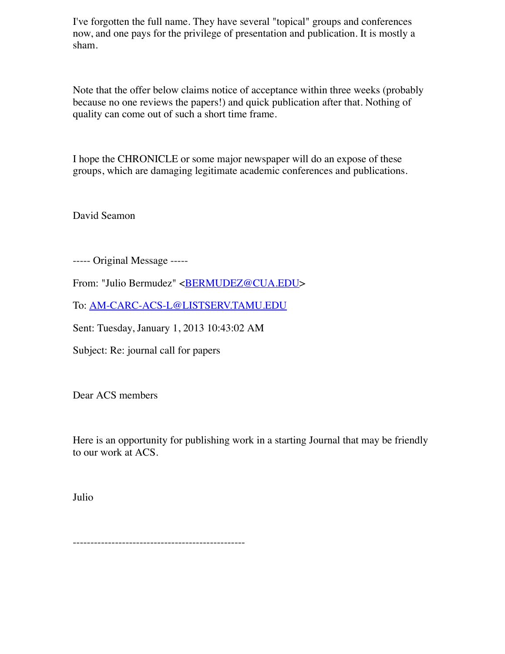I've forgotten the full name. They have several "topical" groups and conferences now, and one pays for the privilege of presentation and publication. It is mostly a sham.

Note that the offer below claims notice of acceptance within three weeks (probably because no one reviews the papers!) and quick publication after that. Nothing of quality can come out of such a short time frame.

I hope the CHRONICLE or some major newspaper will do an expose of these groups, which are damaging legitimate academic conferences and publications.

David Seamon

----- Original Message -----

From: "Julio Bermudez" <**BERMUDEZ@CUA.EDU>** 

To: [AM-CARC-ACS-L@LISTSERV.TAMU.EDU](mailto:AM-CARC-ACS-L@LISTSERV.TAMU.EDU)

Sent: Tuesday, January 1, 2013 10:43:02 AM

Subject: Re: journal call for papers

Dear ACS members

Here is an opportunity for publishing work in a starting Journal that may be friendly to our work at ACS.

Julio

-------------------------------------------------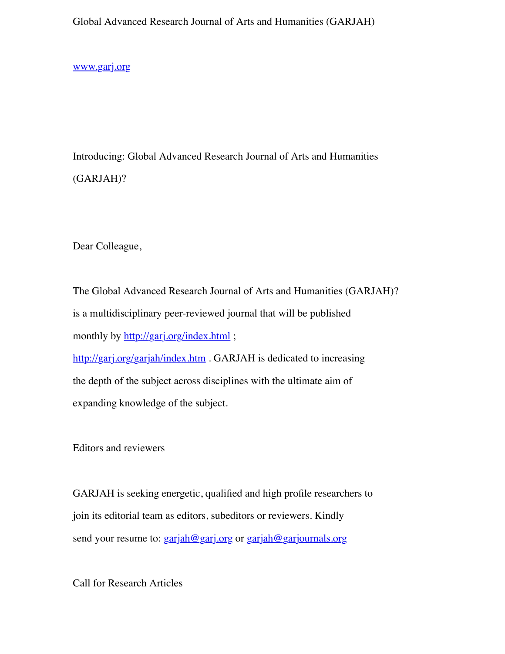Global Advanced Research Journal of Arts and Humanities (GARJAH)

[www.garj.org](http://www.garj.org/)

Introducing: Global Advanced Research Journal of Arts and Humanities (GARJAH)?

Dear Colleague,

The Global Advanced Research Journal of Arts and Humanities (GARJAH)? is a multidisciplinary peer-reviewed journal that will be published monthly by<http://garj.org/index.html>;

<http://garj.org/garjah/index.htm>. GARJAH is dedicated to increasing the depth of the subject across disciplines with the ultimate aim of expanding knowledge of the subject.

Editors and reviewers

GARJAH is seeking energetic, qualified and high profile researchers to join its editorial team as editors, subeditors or reviewers. Kindly send your resume to:  $\frac{\text{gar}(\text{ah@gar})}{\text{gar}(\text{on@gar})}$  or  $\frac{\text{gar}(\text{on@gar})}{\text{gar}(\text{on@gar})}$ 

Call for Research Articles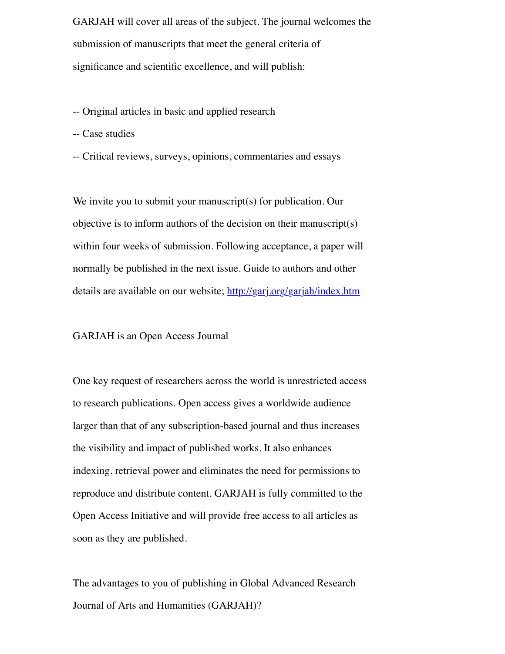GARJAH will cover all areas of the subject. The journal welcomes the submission of manuscripts that meet the general criteria of significance and scientific excellence, and will publish:

- -- Original articles in basic and applied research
- -- Case studies
- -- Critical reviews, surveys, opinions, commentaries and essays

We invite you to submit your manuscript(s) for publication. Our objective is to inform authors of the decision on their manuscript(s) within four weeks of submission. Following acceptance, a paper will normally be published in the next issue. Guide to authors and other details are available on our website;<http://garj.org/garjah/index.htm>

## GARJAH is an Open Access Journal

One key request of researchers across the world is unrestricted access to research publications. Open access gives a worldwide audience larger than that of any subscription-based journal and thus increases the visibility and impact of published works. It also enhances indexing, retrieval power and eliminates the need for permissions to reproduce and distribute content. GARJAH is fully committed to the Open Access Initiative and will provide free access to all articles as soon as they are published.

The advantages to you of publishing in Global Advanced Research Journal of Arts and Humanities (GARJAH)?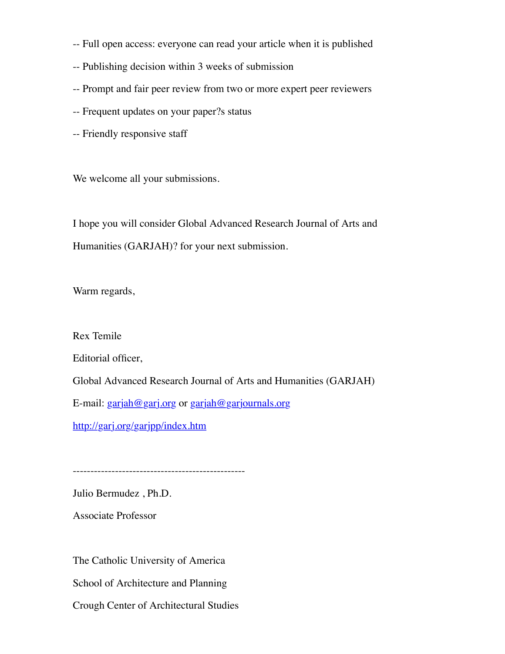- -- Full open access: everyone can read your article when it is published
- -- Publishing decision within 3 weeks of submission
- -- Prompt and fair peer review from two or more expert peer reviewers
- -- Frequent updates on your paper?s status
- -- Friendly responsive staff

We welcome all your submissions.

I hope you will consider Global Advanced Research Journal of Arts and Humanities (GARJAH)? for your next submission.

Warm regards,

Rex Temile

Editorial officer,

Global Advanced Research Journal of Arts and Humanities (GARJAH)

E-mail: [garjah@garj.org](mailto:garjah@garj.org) or [garjah@garjournals.org](mailto:garjah@garjournals.org)

<http://garj.org/garjpp/index.htm>

-------------------------------------------------

Julio Bermudez , Ph.D.

Associate Professor

The Catholic University of America School of Architecture and Planning Crough Center of Architectural Studies